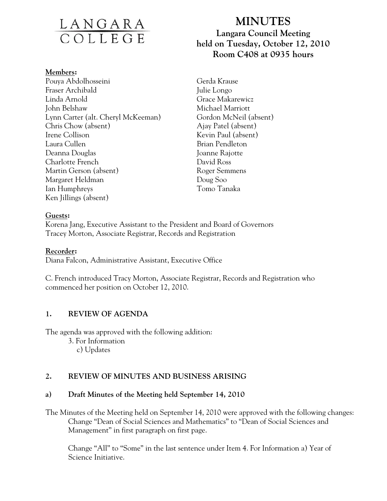# <u>LANGARA</u><br>COLLEGE

#### **Members:**

Pouya Abdolhosseini Fraser Archibald Linda Arnold John Belshaw Lynn Carter (alt. Cheryl McKeeman) Chris Chow (absent) Irene Collison Laura Cullen Deanna Douglas Charlotte French Martin Gerson (absent) Margaret Heldman Ian Humphreys Ken Jillings (absent)

## **MINUTES Langara Council Meeting held on Tuesday, October 12, 2010 Room C408 at 0935 hours**

Gerda Krause Julie Longo Grace Makarewicz Michael Marriott Gordon McNeil (absent) Ajay Patel (absent) Kevin Paul (absent) Brian Pendleton Joanne Rajotte David Ross Roger Semmens Doug Soo Tomo Tanaka

## **Guests:**

Korena Jang, Executive Assistant to the President and Board of Governors Tracey Morton, Associate Registrar, Records and Registration

## **Recorder:**

Diana Falcon, Administrative Assistant, Executive Office

C. French introduced Tracy Morton, Associate Registrar, Records and Registration who commenced her position on October 12, 2010.

## **1. REVIEW OF AGENDA**

The agenda was approved with the following addition:

3. For Information

c) Updates

## **2. REVIEW OF MINUTES AND BUSINESS ARISING**

## **a) Draft Minutes of the Meeting held September 14, 2010**

The Minutes of the Meeting held on September 14, 2010 were approved with the following changes: Change "Dean of Social Sciences and Mathematics" to "Dean of Social Sciences and Management" in first paragraph on first page.

 Change "All" to "Some" in the last sentence under Item 4. For Information a) Year of Science Initiative.